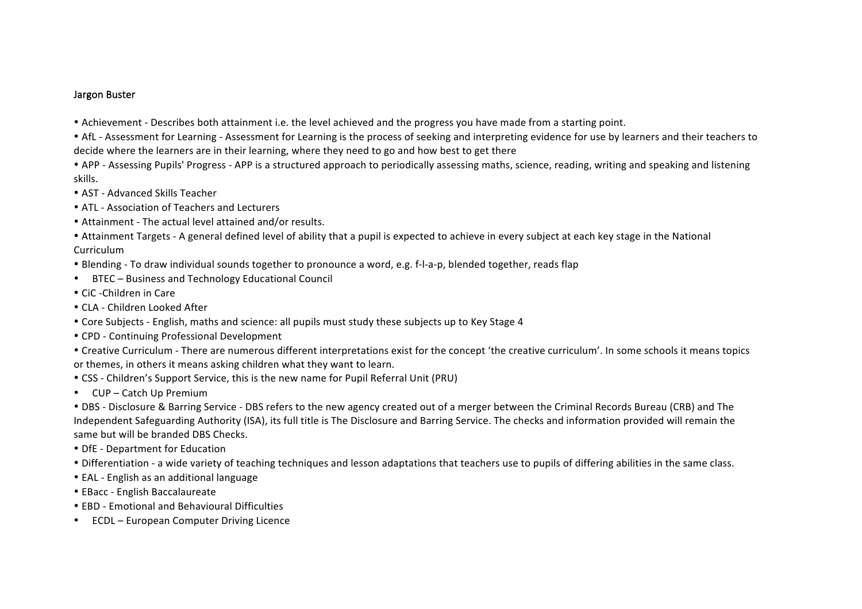## Jargon Buster

- Achievement Describes both attainment i.e. the level achieved and the progress you have made from a starting point.
- AfL Assessment for Learning Assessment for Learning is the process of seeking and interpreting evidence for use by learners and their teachers to decide where the learners are in their learning, where they need to go and how best to get there
- APP Assessing Pupils' Progress APP is a structured approach to periodically assessing maths, science, reading, writing and speaking and listening skills.
- AST Advanced Skills Teacher
- ATL Association of Teachers and Lecturers
- Attainment The actual level attained and/or results.
- Attainment Targets A general defined level of ability that a pupil is expected to achieve in every subject at each key stage in the National Curriculum
- Blending To draw individual sounds together to pronounce a word, e.g. f-l-a-p, blended together, reads flap
- BTEC Business and Technology Educational Council
- CiC -Children in Care
- CLA Children Looked After
- Core Subjects English, maths and science: all pupils must study these subjects up to Key Stage 4
- CPD Continuing Professional Development
- Creative Curriculum There are numerous different interpretations exist for the concept 'the creative curriculum'. In some schools it means topics or themes, in others it means asking children what they want to learn.
- CSS Children's Support Service, this is the new name for Pupil Referral Unit (PRU)
- CUP Catch Up Premium

• DBS - Disclosure & Barring Service - DBS refers to the new agency created out of a merger between the Criminal Records Bureau (CRB) and The Independent Safeguarding Authority (ISA), its full title is The Disclosure and Barring Service. The checks and information provided will remain the same but will be branded DBS Checks.

- DfE Department for Education
- Differentiation a wide variety of teaching techniques and lesson adaptations that teachers use to pupils of differing abilities in the same class.
- EAL English as an additional language
- EBacc English Baccalaureate
- FBD Emotional and Behavioural Difficulties
- ECDL European Computer Driving Licence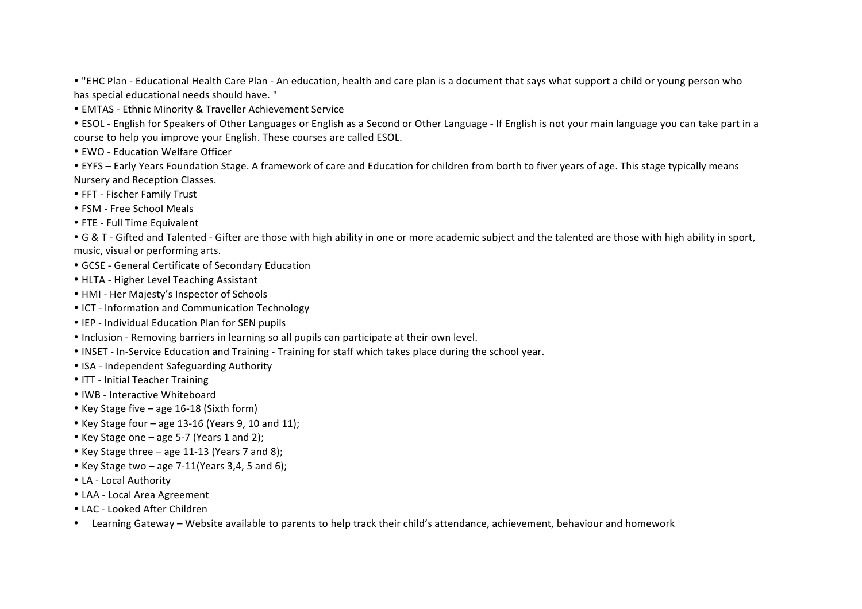• "EHC Plan - Educational Health Care Plan - An education, health and care plan is a document that says what support a child or young person who has special educational needs should have. "

• EMTAS - Ethnic Minority & Traveller Achievement Service

• ESOL - English for Speakers of Other Languages or English as a Second or Other Language - If English is not your main language you can take part in a course to help you improve your English. These courses are called ESOL.

• EWO - Education Welfare Officer

• EYFS – Early Years Foundation Stage. A framework of care and Education for children from borth to fiver years of age. This stage typically means Nursery and Reception Classes.

- FFT Fischer Family Trust
- FSM Free School Meals
- FTE Full Time Equivalent

• G & T - Gifted and Talented - Gifter are those with high ability in one or more academic subject and the talented are those with high ability in sport, music, visual or performing arts.

- GCSE General Certificate of Secondary Education
- HLTA Higher Level Teaching Assistant
- HMI Her Majesty's Inspector of Schools
- ICT Information and Communication Technology
- IEP Individual Education Plan for SEN pupils
- Inclusion Removing barriers in learning so all pupils can participate at their own level.
- INSET In-Service Education and Training Training for staff which takes place during the school year.
- ISA Independent Safeguarding Authority
- ITT Initial Teacher Training
- IWB Interactive Whiteboard
- Key Stage five age  $16-18$  (Sixth form)
- Key Stage four age 13-16 (Years 9, 10 and 11);
- Key Stage one  $-$  age 5-7 (Years 1 and 2);
- Key Stage three  $-$  age 11-13 (Years 7 and 8);
- Key Stage two age  $7-11$ (Years 3,4, 5 and 6);
- LA Local Authority
- LAA Local Area Agreement
- LAC Looked After Children
- Learning Gateway Website available to parents to help track their child's attendance, achievement, behaviour and homework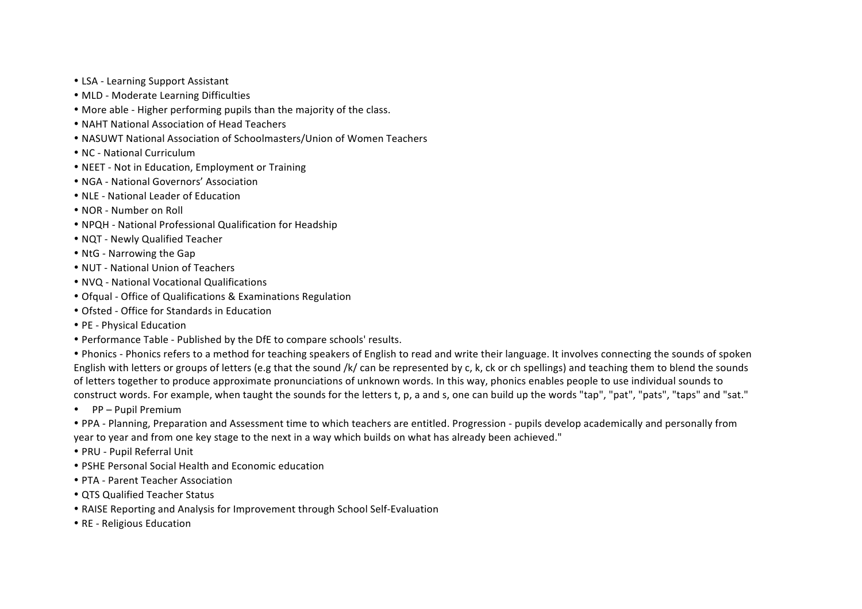- LSA Learning Support Assistant
- MLD Moderate Learning Difficulties
- More able Higher performing pupils than the majority of the class.
- NAHT National Association of Head Teachers
- NASUWT National Association of Schoolmasters/Union of Women Teachers
- NC National Curriculum
- NEET Not in Education, Employment or Training
- NGA National Governors' Association
- NLE National Leader of Education
- NOR Number on Roll
- NPQH National Professional Qualification for Headship
- NQT Newly Qualified Teacher
- NtG Narrowing the Gap
- NUT National Union of Teachers
- NVO National Vocational Qualifications
- Ofqual Office of Qualifications & Examinations Regulation
- Ofsted Office for Standards in Education
- PE Physical Education
- Performance Table Published by the DfE to compare schools' results.

• Phonics - Phonics refers to a method for teaching speakers of English to read and write their language. It involves connecting the sounds of spoken English with letters or groups of letters (e.g that the sound /k/ can be represented by c, k, ck or ch spellings) and teaching them to blend the sounds of letters together to produce approximate pronunciations of unknown words. In this way, phonics enables people to use individual sounds to construct words. For example, when taught the sounds for the letters t, p, a and s, one can build up the words "tap", "pat", "pats", "taps" and "sat."

• PP – Pupil Premium

• PPA - Planning, Preparation and Assessment time to which teachers are entitled. Progression - pupils develop academically and personally from year to year and from one key stage to the next in a way which builds on what has already been achieved."

- PRU Pupil Referral Unit
- PSHE Personal Social Health and Economic education
- PTA Parent Teacher Association
- QTS Qualified Teacher Status
- RAISE Reporting and Analysis for Improvement through School Self-Evaluation
- RE Religious Education